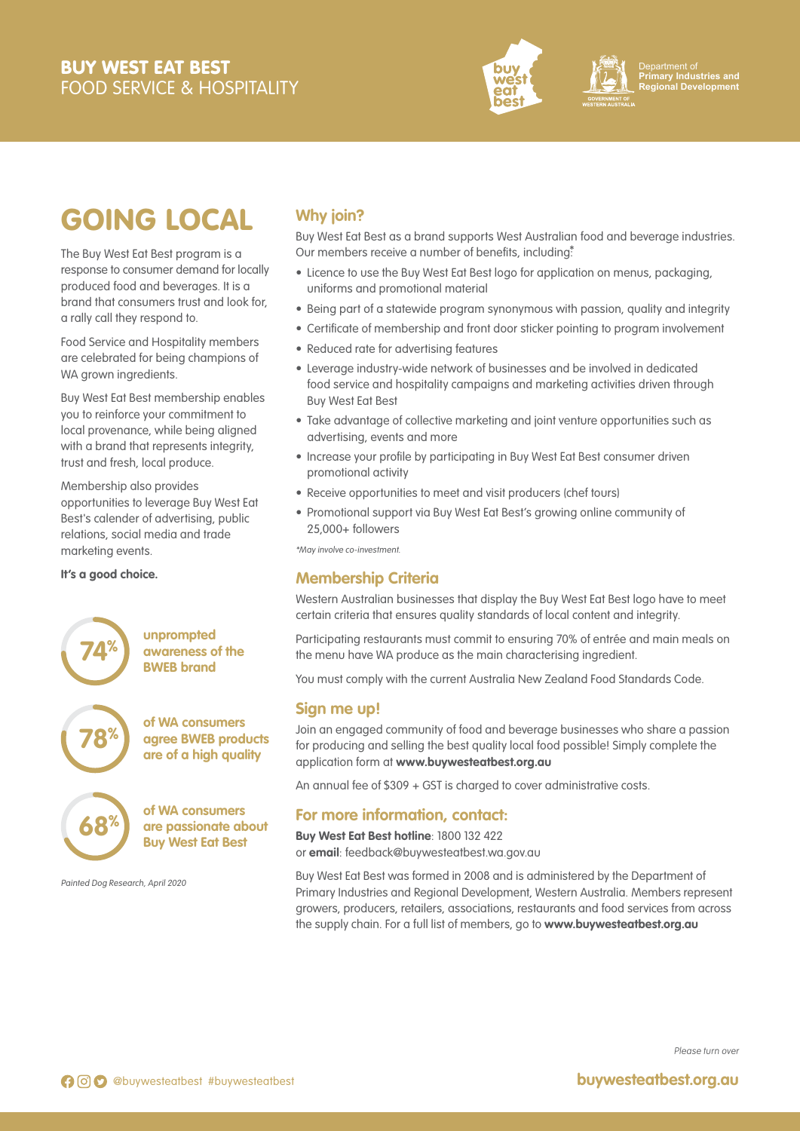# BUY WEST EAT BEST FOOD SERVICE & HOSPITALITY





Department of **Primary Industries and Regional Development**

# GOING LOCAL

The Buy West Eat Best program is a response to consumer demand for locally produced food and beverages. It is a brand that consumers trust and look for, a rally call they respond to.

Food Service and Hospitality members are celebrated for being champions of WA grown ingredients.

Buy West Eat Best membership enables you to reinforce your commitment to local provenance, while being aligned with a brand that represents integrity, trust and fresh, local produce.

Membership also provides opportunities to leverage Buy West Eat Best's calender of advertising, public relations, social media and trade marketing events.

#### **It's a good choice.**

**78%**

**68%**

**unprompted awareness of the BWEB brand 74%**

> **of WA consumers agree BWEB products are of a high quality**

**of WA consumers are passionate about Buy West Eat Best**

Painted Dog Research, April 2020

# **Why join?**

Buy West Eat Best as a brand supports West Australian food and beverage industries. Our members receive a number of benefits, including<sup>\*</sup>

- Licence to use the Buy West Eat Best logo for application on menus, packaging, uniforms and promotional material
- Being part of a statewide program synonymous with passion, quality and integrity
- Certificate of membership and front door sticker pointing to program involvement • Reduced rate for advertising features
- Leverage industry-wide network of businesses and be involved in dedicated food service and hospitality campaigns and marketing activities driven through Buy West Eat Best
- Take advantage of collective marketing and joint venture opportunities such as advertising, events and more
- Increase your profile by participating in Buy West Eat Best consumer driven promotional activity
- Receive opportunities to meet and visit producers (chef tours)
- Promotional support via Buy West Eat Best's growing online community of 25,000+ followers

\*May involve co-investment.

## **Membership Criteria**

Western Australian businesses that display the Buy West Eat Best logo have to meet certain criteria that ensures quality standards of local content and integrity.

Participating restaurants must commit to ensuring 70% of entrée and main meals on the menu have WA produce as the main characterising ingredient.

You must comply with the current Australia New Zealand Food Standards Code.

## **Sign me up!**

Join an engaged community of food and beverage businesses who share a passion for producing and selling the best quality local food possible! Simply complete the application form at **www.buywesteatbest.org.au**

An annual fee of \$309 + GST is charged to cover administrative costs.

## **For more information, contact:**

**Buy West Eat Best hotline**: 1800 132 422 or **email**: feedback@buywesteatbest.wa.gov.au

Buy West Eat Best was formed in 2008 and is administered by the Department of Primary Industries and Regional Development, Western Australia. Members represent growers, producers, retailers, associations, restaurants and food services from across the supply chain. For a full list of members, go to **www.buywesteatbest.org.au**

Please turn over